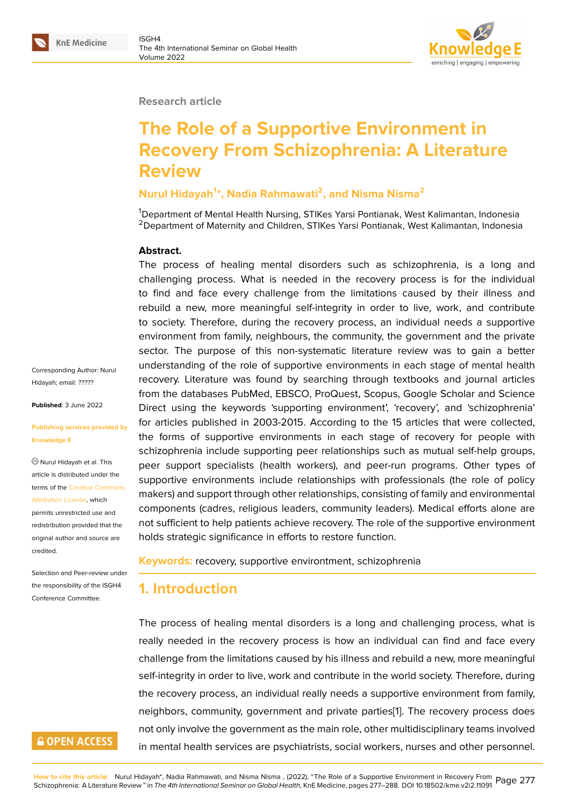#### **Research article**

# **The Role of a Supportive Environment in Recovery From Schizophrenia: A Literature Review**

### **Nurul Hidayah<sup>1</sup> \*, Nadia Rahmawati<sup>2</sup> , and Nisma Nisma<sup>2</sup>**

<sup>1</sup>Department of Mental Health Nursing, STIKes Yarsi Pontianak, West Kalimantan, Indonesia <sup>2</sup> Department of Maternity and Children, STIKes Yarsi Pontianak, West Kalimantan, Indonesia

### **Abstract.**

The process of healing mental disorders such as schizophrenia, is a long and challenging process. What is needed in the recovery process is for the individual to find and face every challenge from the limitations caused by their illness and rebuild a new, more meaningful self-integrity in order to live, work, and contribute to society. Therefore, during the recovery process, an individual needs a supportive environment from family, neighbours, the community, the government and the private sector. The purpose of this non-systematic literature review was to gain a better understanding of the role of supportive environments in each stage of mental health recovery. Literature was found by searching through textbooks and journal articles from the databases PubMed, EBSCO, ProQuest, Scopus, Google Scholar and Science Direct using the keywords 'supporting environment', 'recovery', and 'schizophrenia' for articles published in 2003-2015. According to the 15 articles that were collected, the forms of supportive environments in each stage of recovery for people with schizophrenia include supporting peer relationships such as mutual self-help groups, peer support specialists (health workers), and peer-run programs. Other types of supportive environments include relationships with professionals (the role of policy makers) and support through other relationships, consisting of family and environmental components (cadres, religious leaders, community leaders). Medical efforts alone are not sufficient to help patients achieve recovery. The role of the supportive environment holds strategic significance in efforts to restore function.

#### **Keywords:** recovery, supportive environtment, schizophrenia

# **1. Introduction**

The process of healing mental disorders is a long and challenging process, what is really needed in the recovery process is how an individual can find and face every challenge from the limitations caused by his illness and rebuild a new, more meaningful self-integrity in order to live, work and contribute in the world society. Therefore, during the recovery process, an individual really needs a supportive environment from family, neighbors, community, government and private parties[1]. The recovery process does not only involve the government as the main role, other multidisciplinary teams involved in mental health services are psychiatrists, social workers, nurses and other personnel.

Corresponding Author: Nurul Hidayah; email: ?????

**Published**: 3 June 2022

#### **Publishing serv[ices p](mailto:?????)rovided by Knowledge E**

Nurul Hidayah et al. This article is distributed under the terms of the Creative Commons Attribution License, which permits unrestricted use and redistribution provided that the original auth[or and source are](https://creativecommons.org/licenses/by/4.0/)

Selection and Peer-review under the responsibility of the ISGH4 Conference Committee.

[credited.](https://creativecommons.org/licenses/by/4.0/)

# **GOPEN ACCESS**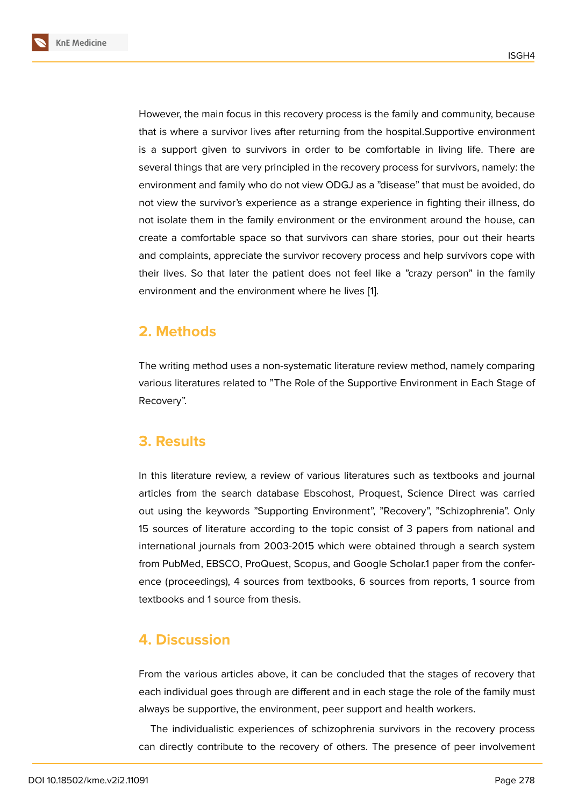However, the main focus in this recovery process is the family and community, because that is where a survivor lives after returning from the hospital.Supportive environment is a support given to survivors in order to be comfortable in living life. There are several things that are very principled in the recovery process for survivors, namely: the environment and family who do not view ODGJ as a "disease" that must be avoided, do not view the survivor's experience as a strange experience in fighting their illness, do not isolate them in the family environment or the environment around the house, can create a comfortable space so that survivors can share stories, pour out their hearts and complaints, appreciate the survivor recovery process and help survivors cope with their lives. So that later the patient does not feel like a "crazy person" in the family environment and the environment where he lives [1].

# **2. Methods**

The writing method uses a non-systematic literature review method, namely comparing various literatures related to "The Role of the Supportive Environment in Each Stage of Recovery".

# **3. Results**

In this literature review, a review of various literatures such as textbooks and journal articles from the search database Ebscohost, Proquest, Science Direct was carried out using the keywords "Supporting Environment", "Recovery", "Schizophrenia". Only 15 sources of literature according to the topic consist of 3 papers from national and international journals from 2003-2015 which were obtained through a search system from PubMed, EBSCO, ProQuest, Scopus, and Google Scholar.1 paper from the conference (proceedings), 4 sources from textbooks, 6 sources from reports, 1 source from textbooks and 1 source from thesis.

# **4. Discussion**

From the various articles above, it can be concluded that the stages of recovery that each individual goes through are different and in each stage the role of the family must always be supportive, the environment, peer support and health workers.

The individualistic experiences of schizophrenia survivors in the recovery process can directly contribute to the recovery of others. The presence of peer involvement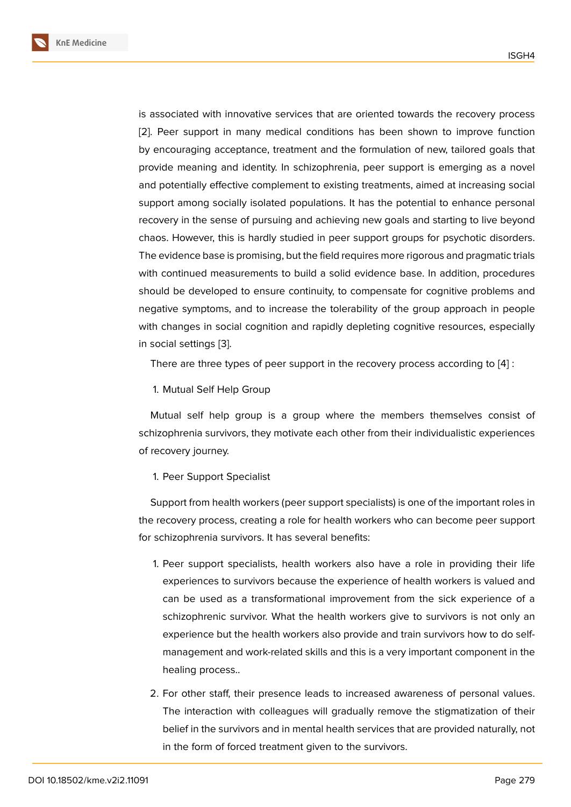is associated with innovative services that are oriented towards the recovery process [2]. Peer support in many medical conditions has been shown to improve function by encouraging acceptance, treatment and the formulation of new, tailored goals that provide meaning and identity. In schizophrenia, peer support is emerging as a novel [an](#page-10-0)d potentially effective complement to existing treatments, aimed at increasing social support among socially isolated populations. It has the potential to enhance personal recovery in the sense of pursuing and achieving new goals and starting to live beyond chaos. However, this is hardly studied in peer support groups for psychotic disorders. The evidence base is promising, but the field requires more rigorous and pragmatic trials with continued measurements to build a solid evidence base. In addition, procedures should be developed to ensure continuity, to compensate for cognitive problems and negative symptoms, and to increase the tolerability of the group approach in people with changes in social cognition and rapidly depleting cognitive resources, especially in social settings [3].

There are three types of peer support in the recovery process according to [4] :

1. Mutual Self [He](#page-10-1)lp Group

Mutual self help group is a group where the members themselves co[ns](#page-10-2)ist of schizophrenia survivors, they motivate each other from their individualistic experiences of recovery journey.

#### 1. Peer Support Specialist

Support from health workers (peer support specialists) is one of the important roles in the recovery process, creating a role for health workers who can become peer support for schizophrenia survivors. It has several benefits:

- 1. Peer support specialists, health workers also have a role in providing their life experiences to survivors because the experience of health workers is valued and can be used as a transformational improvement from the sick experience of a schizophrenic survivor. What the health workers give to survivors is not only an experience but the health workers also provide and train survivors how to do selfmanagement and work-related skills and this is a very important component in the healing process..
- 2. For other staff, their presence leads to increased awareness of personal values. The interaction with colleagues will gradually remove the stigmatization of their belief in the survivors and in mental health services that are provided naturally, not in the form of forced treatment given to the survivors.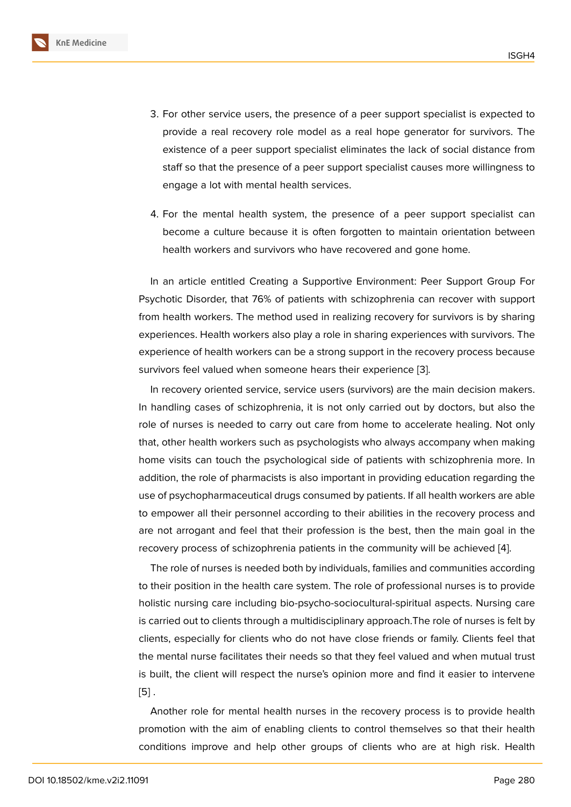- 3. For other service users, the presence of a peer support specialist is expected to provide a real recovery role model as a real hope generator for survivors. The existence of a peer support specialist eliminates the lack of social distance from staff so that the presence of a peer support specialist causes more willingness to engage a lot with mental health services.
- 4. For the mental health system, the presence of a peer support specialist can become a culture because it is often forgotten to maintain orientation between health workers and survivors who have recovered and gone home.

In an article entitled Creating a Supportive Environment: Peer Support Group For Psychotic Disorder, that 76% of patients with schizophrenia can recover with support from health workers. The method used in realizing recovery for survivors is by sharing experiences. Health workers also play a role in sharing experiences with survivors. The experience of health workers can be a strong support in the recovery process because survivors feel valued when someone hears their experience [3].

In recovery oriented service, service users (survivors) are the main decision makers. In handling cases of schizophrenia, it is not only carried out by doctors, but also the role of nurses is needed to carry out care from home to ac[ce](#page-10-1)lerate healing. Not only that, other health workers such as psychologists who always accompany when making home visits can touch the psychological side of patients with schizophrenia more. In addition, the role of pharmacists is also important in providing education regarding the use of psychopharmaceutical drugs consumed by patients. If all health workers are able to empower all their personnel according to their abilities in the recovery process and are not arrogant and feel that their profession is the best, then the main goal in the recovery process of schizophrenia patients in the community will be achieved [4].

The role of nurses is needed both by individuals, families and communities according to their position in the health care system. The role of professional nurses is to provide holistic nursing care including bio-psycho-sociocultural-spiritual aspects. Nursi[ng](#page-10-2) care is carried out to clients through a multidisciplinary approach.The role of nurses is felt by clients, especially for clients who do not have close friends or family. Clients feel that the mental nurse facilitates their needs so that they feel valued and when mutual trust is built, the client will respect the nurse's opinion more and find it easier to intervene  $[5]$ .

Another role for mental health nurses in the recovery process is to provide health promotion with the aim of enabling clients to control themselves so that their health [co](#page-10-3)nditions improve and help other groups of clients who are at high risk. Health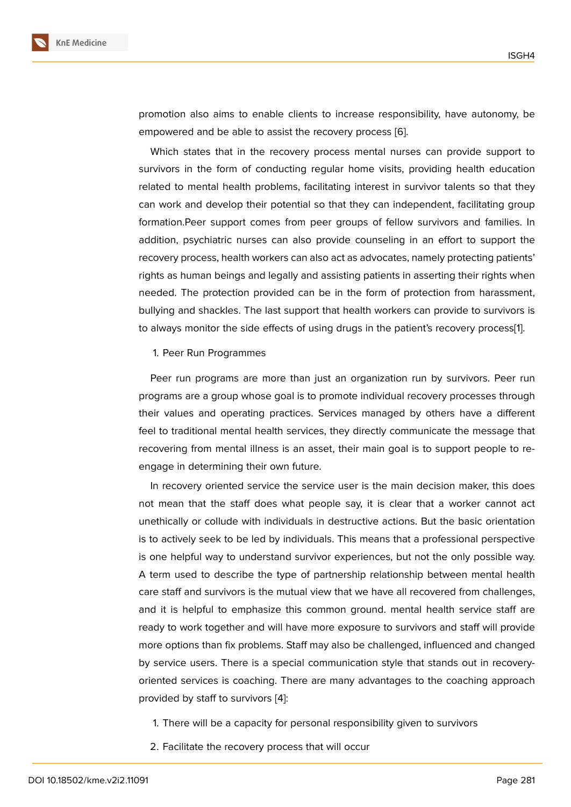promotion also aims to enable clients to increase responsibility, have autonomy, be empowered and be able to assist the recovery process [6].

Which states that in the recovery process mental nurses can provide support to survivors in the form of conducting regular home visits, providing health education related to mental health problems, facilitating interest i[n](#page-10-4) survivor talents so that they can work and develop their potential so that they can independent, facilitating group formation.Peer support comes from peer groups of fellow survivors and families. In addition, psychiatric nurses can also provide counseling in an effort to support the recovery process, health workers can also act as advocates, namely protecting patients' rights as human beings and legally and assisting patients in asserting their rights when needed. The protection provided can be in the form of protection from harassment, bullying and shackles. The last support that health workers can provide to survivors is to always monitor the side effects of using drugs in the patient's recovery process[1].

1. Peer Run Programmes

Peer run programs are more than just an organization run by survivors. Peer [r](#page-10-5)un programs are a group whose goal is to promote individual recovery processes through their values and operating practices. Services managed by others have a different feel to traditional mental health services, they directly communicate the message that recovering from mental illness is an asset, their main goal is to support people to reengage in determining their own future.

In recovery oriented service the service user is the main decision maker, this does not mean that the staff does what people say, it is clear that a worker cannot act unethically or collude with individuals in destructive actions. But the basic orientation is to actively seek to be led by individuals. This means that a professional perspective is one helpful way to understand survivor experiences, but not the only possible way. A term used to describe the type of partnership relationship between mental health care staff and survivors is the mutual view that we have all recovered from challenges, and it is helpful to emphasize this common ground. mental health service staff are ready to work together and will have more exposure to survivors and staff will provide more options than fix problems. Staff may also be challenged, influenced and changed by service users. There is a special communication style that stands out in recoveryoriented services is coaching. There are many advantages to the coaching approach provided by staff to survivors [4]:

- 1. There will be a capacity for personal responsibility given to survivors
- 2. Facilitate the recovery pr[oc](#page-10-2)ess that will occur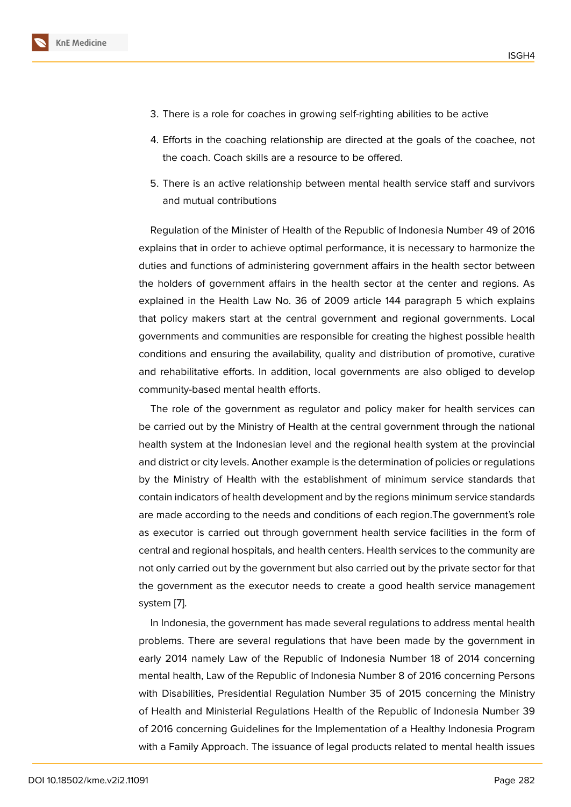- 3. There is a role for coaches in growing self-righting abilities to be active
- 4. Efforts in the coaching relationship are directed at the goals of the coachee, not the coach. Coach skills are a resource to be offered.
- 5. There is an active relationship between mental health service staff and survivors and mutual contributions

Regulation of the Minister of Health of the Republic of Indonesia Number 49 of 2016 explains that in order to achieve optimal performance, it is necessary to harmonize the duties and functions of administering government affairs in the health sector between the holders of government affairs in the health sector at the center and regions. As explained in the Health Law No. 36 of 2009 article 144 paragraph 5 which explains that policy makers start at the central government and regional governments. Local governments and communities are responsible for creating the highest possible health conditions and ensuring the availability, quality and distribution of promotive, curative and rehabilitative efforts. In addition, local governments are also obliged to develop community-based mental health efforts.

The role of the government as regulator and policy maker for health services can be carried out by the Ministry of Health at the central government through the national health system at the Indonesian level and the regional health system at the provincial and district or city levels. Another example is the determination of policies or regulations by the Ministry of Health with the establishment of minimum service standards that contain indicators of health development and by the regions minimum service standards are made according to the needs and conditions of each region.The government's role as executor is carried out through government health service facilities in the form of central and regional hospitals, and health centers. Health services to the community are not only carried out by the government but also carried out by the private sector for that the government as the executor needs to create a good health service management system [7].

In Indonesia, the government has made several regulations to address mental health problems. There are several regulations that have been made by the government in early 2[014](#page-10-6) namely Law of the Republic of Indonesia Number 18 of 2014 concerning mental health, Law of the Republic of Indonesia Number 8 of 2016 concerning Persons with Disabilities, Presidential Regulation Number 35 of 2015 concerning the Ministry of Health and Ministerial Regulations Health of the Republic of Indonesia Number 39 of 2016 concerning Guidelines for the Implementation of a Healthy Indonesia Program with a Family Approach. The issuance of legal products related to mental health issues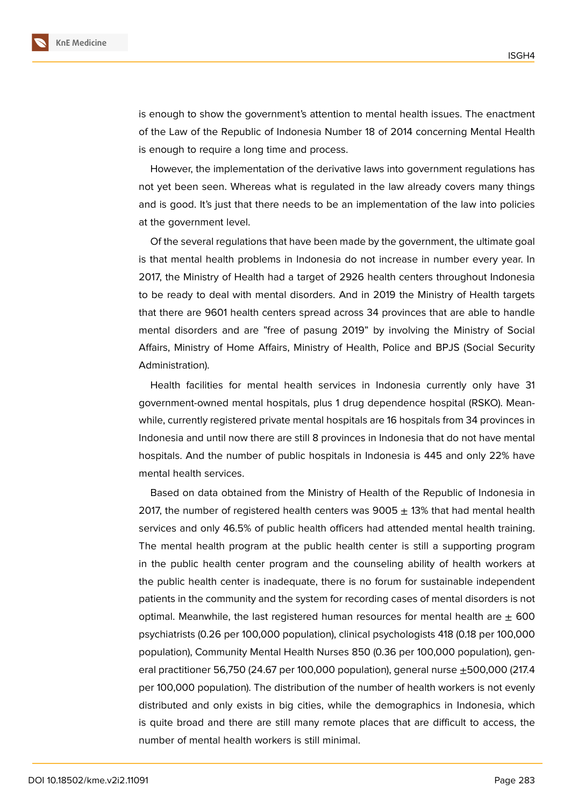

is enough to show the government's attention to mental health issues. The enactment of the Law of the Republic of Indonesia Number 18 of 2014 concerning Mental Health is enough to require a long time and process.

However, the implementation of the derivative laws into government regulations has not yet been seen. Whereas what is regulated in the law already covers many things and is good. It's just that there needs to be an implementation of the law into policies at the government level.

Of the several regulations that have been made by the government, the ultimate goal is that mental health problems in Indonesia do not increase in number every year. In 2017, the Ministry of Health had a target of 2926 health centers throughout Indonesia to be ready to deal with mental disorders. And in 2019 the Ministry of Health targets that there are 9601 health centers spread across 34 provinces that are able to handle mental disorders and are "free of pasung 2019" by involving the Ministry of Social Affairs, Ministry of Home Affairs, Ministry of Health, Police and BPJS (Social Security Administration).

Health facilities for mental health services in Indonesia currently only have 31 government-owned mental hospitals, plus 1 drug dependence hospital (RSKO). Meanwhile, currently registered private mental hospitals are 16 hospitals from 34 provinces in Indonesia and until now there are still 8 provinces in Indonesia that do not have mental hospitals. And the number of public hospitals in Indonesia is 445 and only 22% have mental health services.

Based on data obtained from the Ministry of Health of the Republic of Indonesia in 2017, the number of registered health centers was  $9005 \pm 13\%$  that had mental health services and only 46.5% of public health officers had attended mental health training. The mental health program at the public health center is still a supporting program in the public health center program and the counseling ability of health workers at the public health center is inadequate, there is no forum for sustainable independent patients in the community and the system for recording cases of mental disorders is not optimal. Meanwhile, the last registered human resources for mental health are  $\pm$  600 psychiatrists (0.26 per 100,000 population), clinical psychologists 418 (0.18 per 100,000 population), Community Mental Health Nurses 850 (0.36 per 100,000 population), general practitioner 56,750 (24.67 per 100,000 population), general nurse  $\pm$ 500,000 (217.4 per 100,000 population). The distribution of the number of health workers is not evenly distributed and only exists in big cities, while the demographics in Indonesia, which is quite broad and there are still many remote places that are difficult to access, the number of mental health workers is still minimal.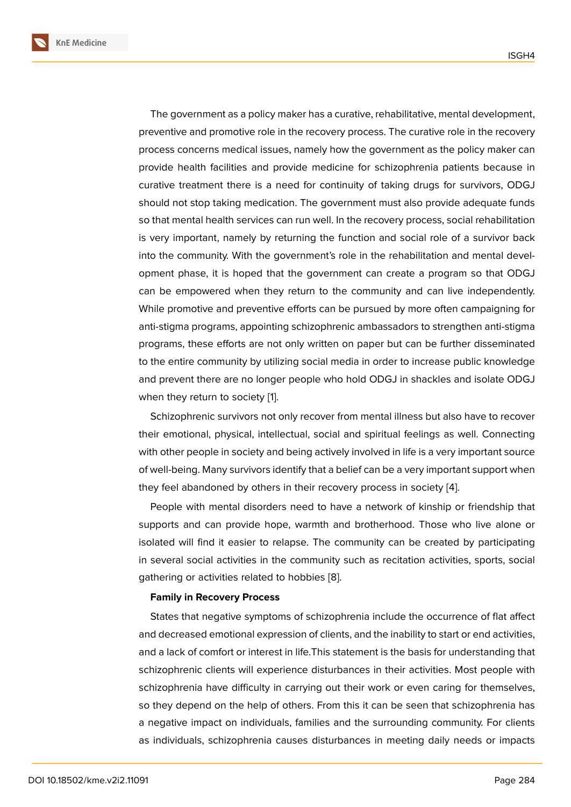The government as a policy maker has a curative, rehabilitative, mental development, preventive and promotive role in the recovery process. The curative role in the recovery process concerns medical issues, namely how the government as the policy maker can provide health facilities and provide medicine for schizophrenia patients because in curative treatment there is a need for continuity of taking drugs for survivors, ODGJ should not stop taking medication. The government must also provide adequate funds so that mental health services can run well. In the recovery process, social rehabilitation is very important, namely by returning the function and social role of a survivor back into the community. With the government's role in the rehabilitation and mental development phase, it is hoped that the government can create a program so that ODGJ can be empowered when they return to the community and can live independently. While promotive and preventive efforts can be pursued by more often campaigning for anti-stigma programs, appointing schizophrenic ambassadors to strengthen anti-stigma programs, these efforts are not only written on paper but can be further disseminated to the entire community by utilizing social media in order to increase public knowledge and prevent there are no longer people who hold ODGJ in shackles and isolate ODGJ when they return to society [1].

Schizophrenic survivors not only recover from mental illness but also have to recover their emotional, physical, intellectual, social and spiritual feelings as well. Connecting with other people in society [an](#page-10-5)d being actively involved in life is a very important source of well-being. Many survivors identify that a belief can be a very important support when they feel abandoned by others in their recovery process in society [4].

People with mental disorders need to have a network of kinship or friendship that supports and can provide hope, warmth and brotherhood. Those who live alone or isolated will find it easier to relapse. The community can be creat[ed](#page-10-2) by participating in several social activities in the community such as recitation activities, sports, social gathering or activities related to hobbies [8].

#### **Family in Recovery Process**

States that negative symptoms of schizophrenia include the occurrence of flat affect and decreased emotional expression of cli[en](#page-10-7)ts, and the inability to start or end activities, and a lack of comfort or interest in life.This statement is the basis for understanding that schizophrenic clients will experience disturbances in their activities. Most people with schizophrenia have difficulty in carrying out their work or even caring for themselves, so they depend on the help of others. From this it can be seen that schizophrenia has a negative impact on individuals, families and the surrounding community. For clients as individuals, schizophrenia causes disturbances in meeting daily needs or impacts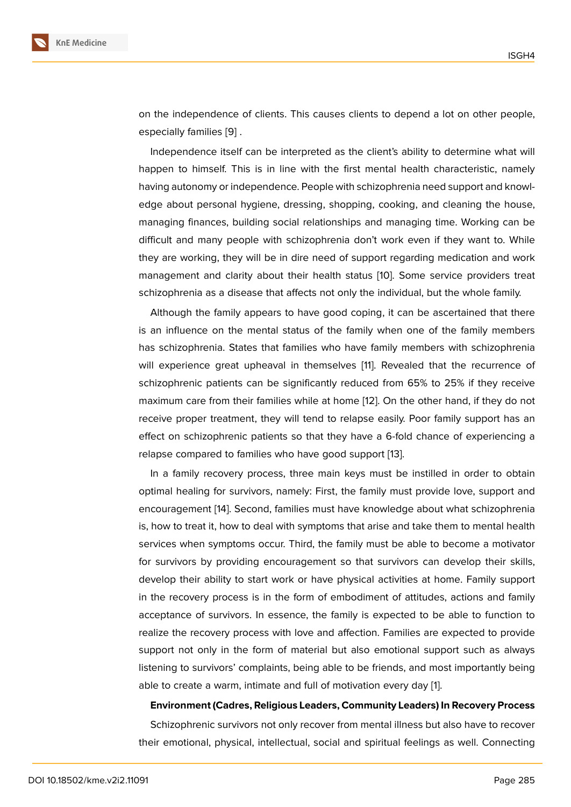on the independence of clients. This causes clients to depend a lot on other people, especially families [9] .

Independence itself can be interpreted as the client's ability to determine what will happen to himself. This is in line with the first mental health characteristic, namely having autonomy o[r in](#page-10-8)dependence. People with schizophrenia need support and knowledge about personal hygiene, dressing, shopping, cooking, and cleaning the house, managing finances, building social relationships and managing time. Working can be difficult and many people with schizophrenia don't work even if they want to. While they are working, they will be in dire need of support regarding medication and work management and clarity about their health status [10]. Some service providers treat schizophrenia as a disease that affects not only the individual, but the whole family.

Although the family appears to have good coping, it can be ascertained that there is an influence on the mental status of the family [wh](#page-10-9)en one of the family members has schizophrenia. States that families who have family members with schizophrenia will experience great upheaval in themselves [11]. Revealed that the recurrence of schizophrenic patients can be significantly reduced from 65% to 25% if they receive maximum care from their families while at home [12]. On the other hand, if they do not receive proper treatment, they will tend to relap[se](#page-10-10) easily. Poor family support has an effect on schizophrenic patients so that they have a 6-fold chance of experiencing a relapse compared to families who have good su[ppo](#page-10-11)rt [13].

In a family recovery process, three main keys must be instilled in order to obtain optimal healing for survivors, namely: First, the family must provide love, support and encouragement [14]. Second, families must have knowl[ed](#page-11-0)ge about what schizophrenia is, how to treat it, how to deal with symptoms that arise and take them to mental health services when symptoms occur. Third, the family must be able to become a motivator for survivors by [pro](#page-11-1)viding encouragement so that survivors can develop their skills, develop their ability to start work or have physical activities at home. Family support in the recovery process is in the form of embodiment of attitudes, actions and family acceptance of survivors. In essence, the family is expected to be able to function to realize the recovery process with love and affection. Families are expected to provide support not only in the form of material but also emotional support such as always listening to survivors' complaints, being able to be friends, and most importantly being able to create a warm, intimate and full of motivation every day [1].

#### **Environment (Cadres, Religious Leaders, Community Leaders) In Recovery Process**

Schizophrenic survivors not only recover from mental illness b[u](#page-10-5)t also have to recover their emotional, physical, intellectual, social and spiritual feelings as well. Connecting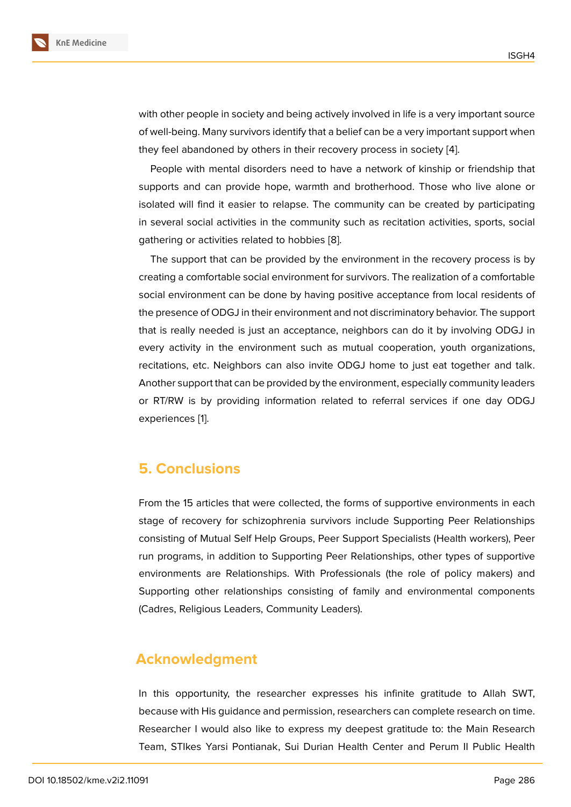with other people in society and being actively involved in life is a very important source of well-being. Many survivors identify that a belief can be a very important support when they feel abandoned by others in their recovery process in society [4].

People with mental disorders need to have a network of kinship or friendship that supports and can provide hope, warmth and brotherhood. Those who live alone or isolated will find it easier to relapse. The community can be creat[ed](#page-10-2) by participating in several social activities in the community such as recitation activities, sports, social gathering or activities related to hobbies [8].

The support that can be provided by the environment in the recovery process is by creating a comfortable social environment for survivors. The realization of a comfortable social environment can be done by havin[g](#page-10-7) positive acceptance from local residents of the presence of ODGJ in their environment and not discriminatory behavior. The support that is really needed is just an acceptance, neighbors can do it by involving ODGJ in every activity in the environment such as mutual cooperation, youth organizations, recitations, etc. Neighbors can also invite ODGJ home to just eat together and talk. Another support that can be provided by the environment, especially community leaders or RT/RW is by providing information related to referral services if one day ODGJ experiences [1].

### **5. Concl[u](#page-10-5)sions**

From the 15 articles that were collected, the forms of supportive environments in each stage of recovery for schizophrenia survivors include Supporting Peer Relationships consisting of Mutual Self Help Groups, Peer Support Specialists (Health workers), Peer run programs, in addition to Supporting Peer Relationships, other types of supportive environments are Relationships. With Professionals (the role of policy makers) and Supporting other relationships consisting of family and environmental components (Cadres, Religious Leaders, Community Leaders).

### **Acknowledgment**

In this opportunity, the researcher expresses his infinite gratitude to Allah SWT, because with His guidance and permission, researchers can complete research on time. Researcher I would also like to express my deepest gratitude to: the Main Research Team, STIkes Yarsi Pontianak, Sui Durian Health Center and Perum II Public Health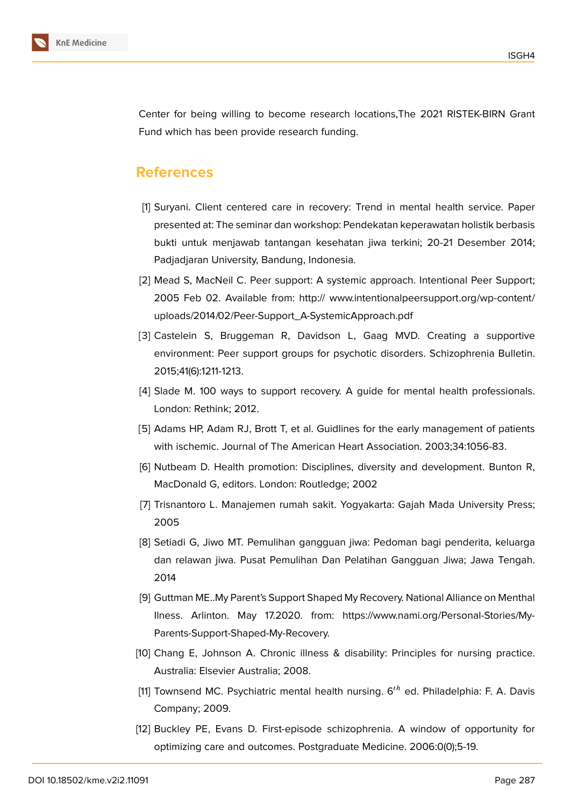

Center for being willing to become research locations,The 2021 RISTEK-BIRN Grant Fund which has been provide research funding.

### **References**

- <span id="page-10-5"></span>[1] Suryani. Client centered care in recovery: Trend in mental health service. Paper presented at: The seminar dan workshop: Pendekatan keperawatan holistik berbasis bukti untuk menjawab tantangan kesehatan jiwa terkini; 20-21 Desember 2014; Padjadjaran University, Bandung, Indonesia.
- <span id="page-10-0"></span>[2] Mead S, MacNeil C. Peer support: A systemic approach. Intentional Peer Support; 2005 Feb 02. Available from: http:// www.intentionalpeersupport.org/wp-content/ uploads/2014/02/Peer-Support\_A-SystemicApproach.pdf
- <span id="page-10-1"></span>[3] Castelein S, Bruggeman R, Davidson L, Gaag MVD. Creating a supportive environment: Peer support groups for psychotic disorders. Schizophrenia Bulletin. 2015;41(6):1211-1213.
- <span id="page-10-2"></span>[4] Slade M. 100 ways to support recovery. A guide for mental health professionals. London: Rethink; 2012.
- <span id="page-10-3"></span>[5] Adams HP, Adam RJ, Brott T, et al. Guidlines for the early management of patients with ischemic. Journal of The American Heart Association. 2003;34:1056-83.
- <span id="page-10-4"></span>[6] Nutbeam D. Health promotion: Disciplines, diversity and development. Bunton R, MacDonald G, editors. London: Routledge; 2002
- <span id="page-10-6"></span>[7] Trisnantoro L. Manajemen rumah sakit. Yogyakarta: Gajah Mada University Press; 2005
- <span id="page-10-7"></span>[8] Setiadi G, Jiwo MT. Pemulihan gangguan jiwa: Pedoman bagi penderita, keluarga dan relawan jiwa. Pusat Pemulihan Dan Pelatihan Gangguan Jiwa; Jawa Tengah. 2014
- <span id="page-10-8"></span>[9] Guttman ME..My Parent's Support Shaped My Recovery. National Alliance on Menthal Ilness. Arlinton. May 17.2020. from: https://www.nami.org/Personal-Stories/My-Parents-Support-Shaped-My-Recovery.
- <span id="page-10-9"></span>[10] Chang E, Johnson A. Chronic illness & disability: Principles for nursing practice. Australia: Elsevier Australia; 2008.
- <span id="page-10-10"></span>[11] Townsend MC. Psychiatric mental health nursing.  $6<sup>th</sup>$  ed. Philadelphia: F. A. Davis Company; 2009.
- <span id="page-10-11"></span>[12] Buckley PE, Evans D. First-episode schizophrenia. A window of opportunity for optimizing care and outcomes. Postgraduate Medicine. 2006:0(0);5-19.